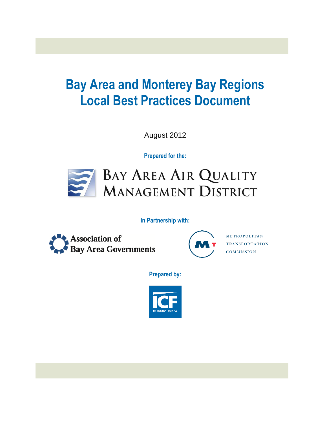# **Bay Area and Monterey Bay Regions Local Best Practices Document**

August 2012

**Prepared for the:**



**In Partnership with:**





METROPOLITAN **TRANSPORTATION COMMISSION** 

**Prepared by:**

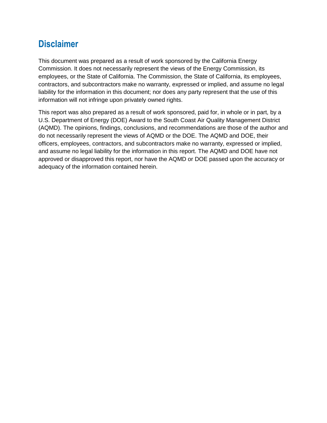# **Disclaimer**

This document was prepared as a result of work sponsored by the California Energy Commission. It does not necessarily represent the views of the Energy Commission, its employees, or the State of California. The Commission, the State of California, its employees, contractors, and subcontractors make no warranty, expressed or implied, and assume no legal liability for the information in this document; nor does any party represent that the use of this information will not infringe upon privately owned rights.

This report was also prepared as a result of work sponsored, paid for, in whole or in part, by a U.S. Department of Energy (DOE) Award to the South Coast Air Quality Management District (AQMD). The opinions, findings, conclusions, and recommendations are those of the author and do not necessarily represent the views of AQMD or the DOE. The AQMD and DOE, their officers, employees, contractors, and subcontractors make no warranty, expressed or implied, and assume no legal liability for the information in this report. The AQMD and DOE have not approved or disapproved this report, nor have the AQMD or DOE passed upon the accuracy or adequacy of the information contained herein.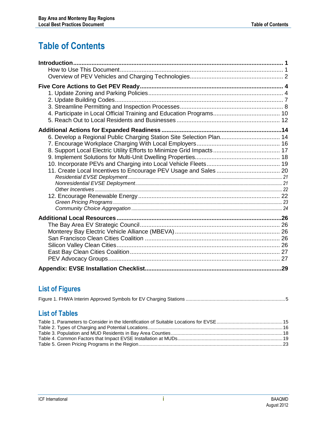# **Table of Contents**

| 6. Develop a Regional Public Charging Station Site Selection Plan 14 |  |
|----------------------------------------------------------------------|--|
|                                                                      |  |
|                                                                      |  |
|                                                                      |  |
|                                                                      |  |
|                                                                      |  |
|                                                                      |  |
|                                                                      |  |
|                                                                      |  |
|                                                                      |  |
|                                                                      |  |
|                                                                      |  |
|                                                                      |  |
|                                                                      |  |
|                                                                      |  |
|                                                                      |  |
|                                                                      |  |
|                                                                      |  |
|                                                                      |  |
|                                                                      |  |

### **List of Figures**

|--|--|--|--|--|--|--|--|

### **List of Tables**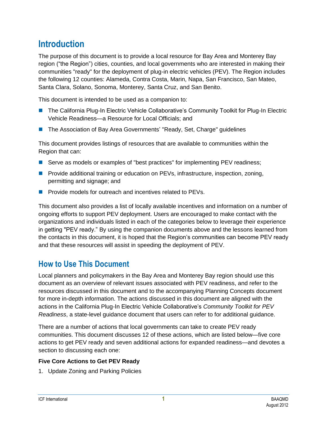# <span id="page-3-0"></span>**Introduction**

The purpose of this document is to provide a local resource for Bay Area and Monterey Bay region ("the Region") cities, counties, and local governments who are interested in making their communities "ready" for the deployment of plug-in electric vehicles (PEV). The Region includes the following 12 counties: Alameda, Contra Costa, Marin, Napa, San Francisco, San Mateo, Santa Clara, Solano, Sonoma, Monterey, Santa Cruz, and San Benito.

This document is intended to be used as a companion to:

- The California Plug-In Electric Vehicle Collaborative's Community Toolkit for Plug-In Electric Vehicle Readiness—a Resource for Local Officials; and
- The Association of Bay Area Governments' "Ready, Set, Charge" guidelines

This document provides listings of resources that are available to communities within the Region that can:

- Serve as models or examples of "best practices" for implementing PEV readiness;
- **Provide additional training or education on PEVs, infrastructure, inspection, zoning,** permitting and signage; and
- **Provide models for outreach and incentives related to PEVs.**

This document also provides a list of locally available incentives and information on a number of ongoing efforts to support PEV deployment. Users are encouraged to make contact with the organizations and individuals listed in each of the categories below to leverage their experience in getting "PEV ready." By using the companion documents above and the lessons learned from the contacts in this document, it is hoped that the Region's communities can become PEV ready and that these resources will assist in speeding the deployment of PEV.

### <span id="page-3-1"></span>**How to Use This Document**

Local planners and policymakers in the Bay Area and Monterey Bay region should use this document as an overview of relevant issues associated with PEV readiness, and refer to the resources discussed in this document and to the accompanying Planning Concepts document for more in-depth information. The actions discussed in this document are aligned with the actions in the California Plug-In Electric Vehicle Collaborative's *Community Toolkit for PEV Readiness*, a state-level guidance document that users can refer to for additional guidance.

There are a number of actions that local governments can take to create PEV ready communities. This document discusses 12 of these actions, which are listed below—five core actions to get PEV ready and seven additional actions for expanded readiness—and devotes a section to discussing each one:

### **Five Core Actions to Get PEV Ready**

1. Update Zoning and Parking Policies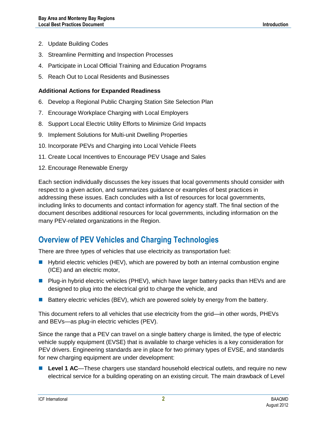- 2. Update Building Codes
- 3. Streamline Permitting and Inspection Processes
- 4. Participate in Local Official Training and Education Programs
- 5. Reach Out to Local Residents and Businesses

#### **Additional Actions for Expanded Readiness**

- 6. Develop a Regional Public Charging Station Site Selection Plan
- 7. Encourage Workplace Charging with Local Employers
- 8. Support Local Electric Utility Efforts to Minimize Grid Impacts
- 9. Implement Solutions for Multi-unit Dwelling Properties
- 10. Incorporate PEVs and Charging into Local Vehicle Fleets
- 11. Create Local Incentives to Encourage PEV Usage and Sales
- 12. Encourage Renewable Energy

Each section individually discusses the key issues that local governments should consider with respect to a given action, and summarizes guidance or examples of best practices in addressing these issues. Each concludes with a list of resources for local governments, including links to documents and contact information for agency staff. The final section of the document describes additional resources for local governments, including information on the many PEV-related organizations in the Region.

### <span id="page-4-0"></span>**Overview of PEV Vehicles and Charging Technologies**

There are three types of vehicles that use electricity as transportation fuel:

- **Hybrid electric vehicles (HEV), which are powered by both an internal combustion engine** (ICE) and an electric motor,
- **Plug-in hybrid electric vehicles (PHEV), which have larger battery packs than HEVs and are** designed to plug into the electrical grid to charge the vehicle, and
- **Battery electric vehicles (BEV), which are powered solely by energy from the battery.**

This document refers to all vehicles that use electricity from the grid—in other words, PHEVs and BEVs—as plug-in electric vehicles (PEV).

Since the range that a PEV can travel on a single battery charge is limited, the type of electric vehicle supply equipment (EVSE) that is available to charge vehicles is a key consideration for PEV drivers. Engineering standards are in place for two primary types of EVSE, and standards for new charging equipment are under development:

■ Level 1 AC—These chargers use standard household electrical outlets, and require no new electrical service for a building operating on an existing circuit. The main drawback of Level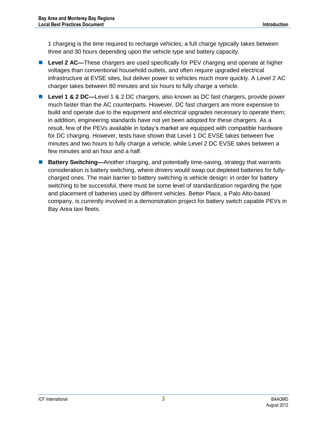1 charging is the time required to recharge vehicles; a full charge typically takes between three and 30 hours depending upon the vehicle type and battery capacity.

- Level 2 AC—These chargers are used specifically for PEV charging and operate at higher voltages than conventional household outlets, and often require upgraded electrical infrastructure at EVSE sites, but deliver power to vehicles much more quickly. A Level 2 AC charger takes between 80 minutes and six hours to fully charge a vehicle.
- Level 1 & 2 DC—Level 1 & 2 DC chargers, also known as DC fast chargers, provide power much faster than the AC counterparts. However, DC fast chargers are more expensive to build and operate due to the equipment and electrical upgrades necessary to operate them; in addition, engineering standards have not yet been adopted for these chargers. As a result, few of the PEVs available in today's market are equipped with compatible hardware for DC charging. However, tests have shown that Level 1 DC EVSE takes between five minutes and two hours to fully charge a vehicle, while Level 2 DC EVSE takes between a few minutes and an hour and a half.
- **Battery Switching—**Another charging, and potentially time-saving, strategy that warrants consideration is battery switching, where drivers would swap out depleted batteries for fullycharged ones. The main barrier to battery switching is vehicle design: in order for battery switching to be successful, there must be some level of standardization regarding the type and placement of batteries used by different vehicles. Better Place, a Palo Alto-based company, is currently involved in a demonstration project for battery switch capable PEVs in Bay Area taxi fleets.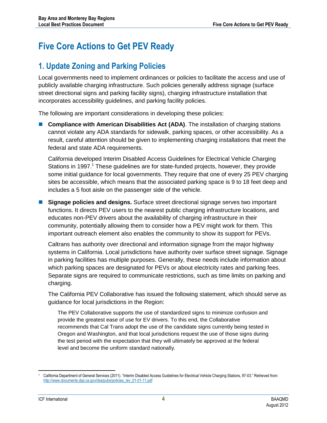# <span id="page-6-0"></span>**Five Core Actions to Get PEV Ready**

### <span id="page-6-1"></span>**1. Update Zoning and Parking Policies**

Local governments need to implement ordinances or policies to facilitate the access and use of publicly available charging infrastructure. Such policies generally address signage (surface street directional signs and parking facility signs), charging infrastructure installation that incorporates accessibility guidelines, and parking facility policies.

The following are important considerations in developing these policies:

**Compliance with American Disabilities Act (ADA).** The installation of charging stations cannot violate any ADA standards for sidewalk, parking spaces, or other accessibility. As a result, careful attention should be given to implementing charging installations that meet the federal and state ADA requirements.

California developed Interim Disabled Access Guidelines for Electrical Vehicle Charging Stations in 1997.<sup>1</sup> These guidelines are for state-funded projects, however, they provide some initial guidance for local governments. They require that one of every 25 PEV charging sites be accessible, which means that the associated parking space is 9 to 18 feet deep and includes a 5 foot aisle on the passenger side of the vehicle.

 **Signage policies and designs.** Surface street directional signage serves two important functions. It directs PEV users to the nearest public charging infrastructure locations, and educates non-PEV drivers about the availability of charging infrastructure in their community, potentially allowing them to consider how a PEV might work for them. This important outreach element also enables the community to show its support for PEVs.

Caltrans has authority over directional and information signage from the major highway systems in California. Local jurisdictions have authority over surface street signage. Signage in parking facilities has multiple purposes. Generally, these needs include information about which parking spaces are designated for PEVs or about electricity rates and parking fees. Separate signs are required to communicate restrictions, such as time limits on parking and charging.

The California PEV Collaborative has issued the following statement, which should serve as guidance for local jurisdictions in the Region:

The PEV Collaborative supports the use of standardized signs to minimize confusion and provide the greatest ease of use for EV drivers. To this end, the Collaborative recommends that Cal Trans adopt the use of the candidate signs currently being tested in Oregon and Washington, and that local jurisdictions request the use of those signs during the test period with the expectation that they will ultimately be approved at the federal level and become the uniform standard nationally.

 <sup>1</sup> California Department of General Services (2011). "Interim Disabled Access Guidelines for Electrical Vehicle Charging Stations, 97-03." Retrieved from: [http://www.documents.dgs.ca.gov/dsa/pubs/policies\\_rev\\_01-01-11.pdf](http://www.documents.dgs.ca.gov/dsa/pubs/policies_rev_01-01-11.pdf)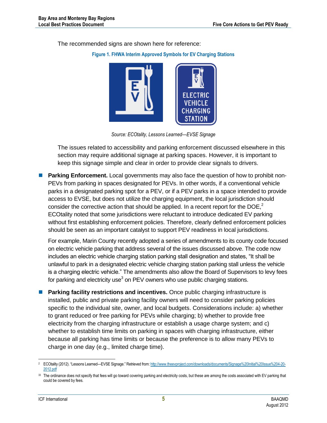<span id="page-7-0"></span>The recommended signs are shown here for reference:

#### **Figure 1. FHWA Interim Approved Symbols for EV Charging Stations**



*Source: ECOtality, Lessons Learned—EVSE Signage*

The issues related to accessibility and parking enforcement discussed elsewhere in this section may require additional signage at parking spaces. However, it is important to keep this signage simple and clear in order to provide clear signals to drivers.

**Parking Enforcement.** Local governments may also face the question of how to prohibit non-PEVs from parking in spaces designated for PEVs. In other words, if a conventional vehicle parks in a designated parking spot for a PEV, or if a PEV parks in a space intended to provide access to EVSE, but does not utilize the charging equipment, the local jurisdiction should consider the corrective action that should be applied. In a recent report for the  $DOE<sub>i</sub><sup>2</sup>$ ECOtality noted that some jurisdictions were reluctant to introduce dedicated EV parking without first establishing enforcement policies. Therefore, clearly defined enforcement policies should be seen as an important catalyst to support PEV readiness in local jurisdictions.

For example, Marin County recently adopted a series of amendments to its county code focused on electric vehicle parking that address several of the issues discussed above. The code now includes an electric vehicle charging station parking stall designation and states, "It shall be unlawful to park in a designated electric vehicle charging station parking stall unless the vehicle is a charging electric vehicle." The amendments also allow the Board of Supervisors to levy fees for parking and electricity use<sup>3</sup> on PEV owners who use public charging stations.

**Parking facility restrictions and incentives.** Once public charging infrastructure is installed, public and private parking facility owners will need to consider parking policies specific to the individual site, owner, and local budgets. Considerations include: a) whether to grant reduced or free parking for PEVs while charging; b) whether to provide free electricity from the charging infrastructure or establish a usage charge system; and c) whether to establish time limits on parking in spaces with charging infrastructure, either because all parking has time limits or because the preference is to allow many PEVs to charge in one day (e.g., limited charge time).

 <sup>2</sup> ECOtality (2012). "Lessons Learned—EVSE Signage." Retrieved from: [http://www.theevproject.com/downloads/documents/Signage%20Initial%20Issue%204-20-](http://www.theevproject.com/downloads/documents/Signage%20Initial%20Issue%204-20-2012.pdf) [2012.pdf](http://www.theevproject.com/downloads/documents/Signage%20Initial%20Issue%204-20-2012.pdf)

<sup>33</sup> The ordinance does not specify that fees will go toward covering parking and electricity costs, but these are among the costs associated with EV parking that could be covered by fees.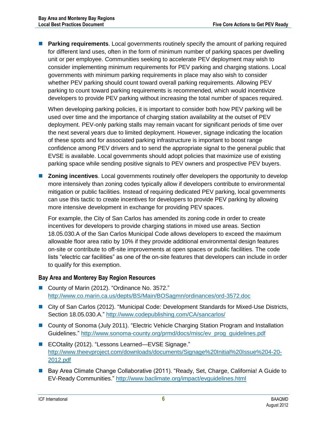**Parking requirements**. Local governments routinely specify the amount of parking required for different land uses, often in the form of minimum number of parking spaces per dwelling unit or per employee. Communities seeking to accelerate PEV deployment may wish to consider implementing minimum requirements for PEV parking and charging stations. Local governments with minimum parking requirements in place may also wish to consider whether PEV parking should count toward overall parking requirements. Allowing PEV parking to count toward parking requirements is recommended, which would incentivize developers to provide PEV parking without increasing the total number of spaces required.

When developing parking policies, it is important to consider both how PEV parking will be used over time and the importance of charging station availability at the outset of PEV deployment. PEV-only parking stalls may remain vacant for significant periods of time over the next several years due to limited deployment. However, signage indicating the location of these spots and for associated parking infrastructure is important to boost range confidence among PEV drivers and to send the appropriate signal to the general public that EVSE is available. Local governments should adopt policies that maximize use of existing parking space while sending positive signals to PEV owners and prospective PEV buyers.

**Zoning incentives**. Local governments routinely offer developers the opportunity to develop more intensively than zoning codes typically allow if developers contribute to environmental mitigation or public facilities. Instead of requiring dedicated PEV parking, local governments can use this tactic to create incentives for developers to provide PEV parking by allowing more intensive development in exchange for providing PEV spaces.

For example, the City of San Carlos has amended its zoning code in order to create incentives for developers to provide charging stations in mixed use areas. Section 18.05.030.A of the San Carlos Municipal Code allows developers to exceed the maximum allowable floor area ratio by 10% if they provide additional environmental design features on-site or contribute to off-site improvements at open spaces or public facilities. The code lists "electric car facilities" as one of the on-site features that developers can include in order to qualify for this exemption.

### **Bay Area and Monterey Bay Region Resources**

- County of Marin (2012). "Ordinance No. 3572." <http://www.co.marin.ca.us/depts/BS/Main/BOSagmn/ordinances/ord-3572.doc>
- City of San Carlos (2012). "Municipal Code: Development Standards for Mixed-Use Districts, Section 18.05.030.A."<http://www.codepublishing.com/CA/sancarlos/>
- County of Sonoma (July 2011). "Electric Vehicle Charging Station Program and Installation Guidelines." [http://www.sonoma-county.org/prmd/docs/misc/ev\\_prog\\_guidelines.pdf](http://www.sonoma-county.org/prmd/docs/misc/ev_prog_guidelines.pdf)
- ECOtality (2012). "Lessons Learned—EVSE Signage." [http://www.theevproject.com/downloads/documents/Signage%20Initial%20Issue%204-20-](http://www.theevproject.com/downloads/documents/Signage%20Initial%20Issue%204-20-2012.pdf) [2012.pdf](http://www.theevproject.com/downloads/documents/Signage%20Initial%20Issue%204-20-2012.pdf)
- Bay Area Climate Change Collaborative (2011). "Ready, Set, Charge, California! A Guide to EV-Ready Communities." <http://www.baclimate.org/impact/evguidelines.html>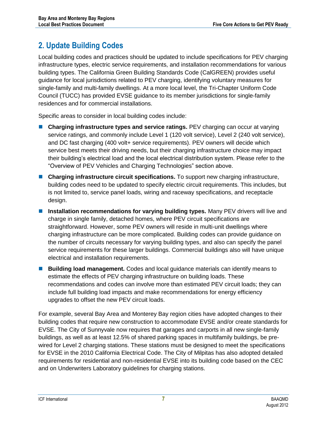# <span id="page-9-0"></span>**2. Update Building Codes**

Local building codes and practices should be updated to include specifications for PEV charging infrastructure types, electric service requirements, and installation recommendations for various building types. The California Green Building Standards Code (CalGREEN) provides useful guidance for local jurisdictions related to PEV charging, identifying voluntary measures for single-family and multi-family dwellings. At a more local level, the Tri-Chapter Uniform Code Council (TUCC) has provided EVSE guidance to its member jurisdictions for single-family residences and for commercial installations.

Specific areas to consider in local building codes include:

- **Charging infrastructure types and service ratings.** PEV charging can occur at varying service ratings, and commonly include Level 1 (120 volt service), Level 2 (240 volt service), and DC fast charging (400 volt+ service requirements). PEV owners will decide which service best meets their driving needs, but their charging infrastructure choice may impact their building's electrical load and the local electrical distribution system. Please refer to the "Overview of PEV Vehicles and Charging Technologies" section above.
- **Charging infrastructure circuit specifications.** To support new charging infrastructure, building codes need to be updated to specify electric circuit requirements. This includes, but is not limited to, service panel loads, wiring and raceway specifications, and receptacle design.
- Installation recommendations for varying building types. Many PEV drivers will live and charge in single family, detached homes, where PEV circuit specifications are straightforward. However, some PEV owners will reside in multi-unit dwellings where charging infrastructure can be more complicated. Building codes can provide guidance on the number of circuits necessary for varying building types, and also can specify the panel service requirements for these larger buildings. Commercial buildings also will have unique electrical and installation requirements.
- **Building load management.** Codes and local guidance materials can identify means to estimate the effects of PEV charging infrastructure on building loads. These recommendations and codes can involve more than estimated PEV circuit loads; they can include full building load impacts and make recommendations for energy efficiency upgrades to offset the new PEV circuit loads.

For example, several Bay Area and Monterey Bay region cities have adopted changes to their building codes that require new construction to accommodate EVSE and/or create standards for EVSE. The City of Sunnyvale now requires that garages and carports in all new single-family buildings, as well as at least 12.5% of shared parking spaces in multifamily buildings, be prewired for Level 2 charging stations. These stations must be designed to meet the specifications for EVSE in the 2010 California Electrical Code. The City of Milpitas has also adopted detailed requirements for residential and non-residential EVSE into its building code based on the CEC and on Underwriters Laboratory guidelines for charging stations.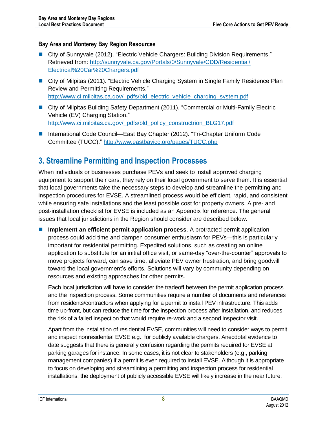### **Bay Area and Monterey Bay Region Resources**

- City of Sunnyvale (2012). "Electric Vehicle Chargers: Building Division Requirements." Retrieved from: [http://sunnyvale.ca.gov/Portals/0/Sunnyvale/CDD/Residential/](http://sunnyvale.ca.gov/Portals/0/Sunnyvale/CDD/Residential/Electrical%20Car%20Chargers.pdf) [Electrical%20Car%20Chargers.pdf](http://sunnyvale.ca.gov/Portals/0/Sunnyvale/CDD/Residential/Electrical%20Car%20Chargers.pdf)
- City of Milpitas (2011). "Electric Vehicle Charging System in Single Family Residence Plan Review and Permitting Requirements." [http://www.ci.milpitas.ca.gov/\\_pdfs/bld\\_electric\\_vehicle\\_charging\\_system.pdf](http://www.ci.milpitas.ca.gov/_pdfs/bld_electric_vehicle_charging_system.pdf)
- City of Milpitas Building Safety Department (2011). "Commercial or Multi-Family Electric Vehicle (EV) Charging Station." [http://www.ci.milpitas.ca.gov/\\_pdfs/bld\\_policy\\_constructrion\\_BLG17.pdf](http://www.ci.milpitas.ca.gov/_pdfs/bld_policy_constructrion_BLG17.pdf)
- International Code Council—East Bay Chapter (2012). "Tri-Chapter Uniform Code Committee (TUCC)."<http://www.eastbayicc.org/pages/TUCC.php>

### <span id="page-10-0"></span>**3. Streamline Permitting and Inspection Processes**

When individuals or businesses purchase PEVs and seek to install approved charging equipment to support their cars, they rely on their local government to serve them. It is essential that local governments take the necessary steps to develop and streamline the permitting and inspection procedures for EVSE. A streamlined process would be efficient, rapid, and consistent while ensuring safe installations and the least possible cost for property owners. A pre- and post-installation checklist for EVSE is included as an Appendix for reference. The general issues that local jurisdictions in the Region should consider are described below.

 **Implement an efficient permit application process**. A protracted permit application process could add time and dampen consumer enthusiasm for PEVs—this is particularly important for residential permitting. Expedited solutions, such as creating an online application to substitute for an initial office visit, or same-day "over-the-counter" approvals to move projects forward, can save time, alleviate PEV owner frustration, and bring goodwill toward the local government's efforts. Solutions will vary by community depending on resources and existing approaches for other permits.

Each local jurisdiction will have to consider the tradeoff between the permit application process and the inspection process. Some communities require a number of documents and references from residents/contractors when applying for a permit to install PEV infrastructure. This adds time up-front, but can reduce the time for the inspection process after installation, and reduces the risk of a failed inspection that would require re-work and a second inspector visit.

Apart from the installation of residential EVSE, communities will need to consider ways to permit and inspect nonresidential EVSE e.g., for publicly available chargers. Anecdotal evidence to date suggests that there is generally confusion regarding the permits required for EVSE at parking garages for instance. In some cases, it is not clear to stakeholders (e.g., parking management companies) if a permit is even required to install EVSE. Although it is appropriate to focus on developing and streamlining a permitting and inspection process for residential installations, the deployment of publicly accessible EVSE will likely increase in the near future.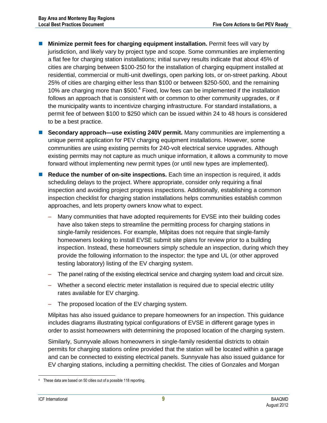- **Minimize permit fees for charging equipment installation.** Permit fees will vary by jurisdiction, and likely vary by project type and scope. Some communities are implementing a flat fee for charging station installations; initial survey results indicate that about 45% of cities are charging between \$100-250 for the installation of charging equipment installed at residential, commercial or multi-unit dwellings, open parking lots, or on-street parking. About 25% of cities are charging either less than \$100 or between \$250-500, and the remaining 10% are charging more than \$500.<sup>4</sup> Fixed, low fees can be implemented if the installation follows an approach that is consistent with or common to other community upgrades, or if the municipality wants to incentivize charging infrastructure. For standard installations, a permit fee of between \$100 to \$250 which can be issued within 24 to 48 hours is considered to be a best practice.
- **Secondary approach—use existing 240V permit.** Many communities are implementing a unique permit application for PEV charging equipment installations. However, some communities are using existing permits for 240-volt electrical service upgrades. Although existing permits may not capture as much unique information, it allows a community to move forward without implementing new permit types (or until new types are implemented).
- **Reduce the number of on-site inspections.** Each time an inspection is required, it adds scheduling delays to the project. Where appropriate, consider only requiring a final inspection and avoiding project progress inspections. Additionally, establishing a common inspection checklist for charging station installations helps communities establish common approaches, and lets property owners know what to expect.
	- Many communities that have adopted requirements for EVSE into their building codes have also taken steps to streamline the permitting process for charging stations in single-family residences. For example, Milpitas does not require that single-family homeowners looking to install EVSE submit site plans for review prior to a building inspection. Instead, these homeowners simply schedule an inspection, during which they provide the following information to the inspector: the type and UL (or other approved testing laboratory) listing of the EV charging system.
	- The panel rating of the existing electrical service and charging system load and circuit size.
	- Whether a second electric meter installation is required due to special electric utility rates available for EV charging.
	- The proposed location of the EV charging system.

Milpitas has also issued guidance to prepare homeowners for an inspection. This guidance includes diagrams illustrating typical configurations of EVSE in different garage types in order to assist homeowners with determining the proposed location of the charging system.

Similarly, Sunnyvale allows homeowners in single-family residential districts to obtain permits for charging stations online provided that the station will be located within a garage and can be connected to existing electrical panels. Sunnyvale has also issued guidance for EV charging stations, including a permitting checklist. The cities of Gonzales and Morgan

These data are based on 50 cities out of a possible 118 reporting.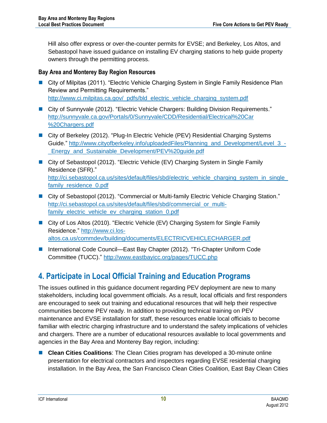Hill also offer express or over-the-counter permits for EVSE; and Berkeley, Los Altos, and Sebastopol have issued guidance on installing EV charging stations to help guide property owners through the permitting process.

### **Bay Area and Monterey Bay Region Resources**

- City of Milpitas (2011). "Electric Vehicle Charging System in Single Family Residence Plan Review and Permitting Requirements." [http://www.ci.milpitas.ca.gov/\\_pdfs/bld\\_electric\\_vehicle\\_charging\\_system.pdf](http://www.ci.milpitas.ca.gov/_pdfs/bld_electric_vehicle_charging_system.pdf)
- City of Sunnyvale (2012). "Electric Vehicle Chargers: Building Division Requirements." [http://sunnyvale.ca.gov/Portals/0/Sunnyvale/CDD/Residential/Electrical%20Car](http://sunnyvale.ca.gov/Portals/0/Sunnyvale/CDD/Residential/Electrical%20Car%20Chargers.pdf) [%20Chargers.pdf](http://sunnyvale.ca.gov/Portals/0/Sunnyvale/CDD/Residential/Electrical%20Car%20Chargers.pdf)
- City of Berkeley (2012). "Plug-In Electric Vehicle (PEV) Residential Charging Systems Guide." [http://www.cityofberkeley.info/uploadedFiles/Planning\\_and\\_Development/Level\\_3\\_-](http://www.cityofberkeley.info/uploadedFiles/Planning_and_Development/Level_3_-_Energy_and_Sustainable_Development/PEV%20guide.pdf) Energy and Sustainable Development/PEV%20guide.pdf
- City of Sebastopol (2012). "Electric Vehicle (EV) Charging System in Single Family Residence (SFR)." [http://ci.sebastopol.ca.us/sites/default/files/sbd/electric\\_vehicle\\_charging\\_system\\_in\\_single\\_](http://ci.sebastopol.ca.us/sites/default/files/sbd/electric_vehicle_charging_system_in_single_family_residence_0.pdf) family residence 0.pdf
- City of Sebastopol (2012). "Commercial or Multi-family Electric Vehicle Charging Station." [http://ci.sebastopol.ca.us/sites/default/files/sbd/commercial\\_or\\_multi](http://ci.sebastopol.ca.us/sites/default/files/sbd/commercial_or_multi-family_electric_vehicle_ev_charging_station_0.pdf)[family\\_electric\\_vehicle\\_ev\\_charging\\_station\\_0.pdf](http://ci.sebastopol.ca.us/sites/default/files/sbd/commercial_or_multi-family_electric_vehicle_ev_charging_station_0.pdf)
- City of Los Altos (2010). "Electric Vehicle (EV) Charging System for Single Family Residence." [http://www.ci.los](http://www.ci.los-altos.ca.us/commdev/building/documents/ELECTRICVEHICLECHARGER.pdf)[altos.ca.us/commdev/building/documents/ELECTRICVEHICLECHARGER.pdf](http://www.ci.los-altos.ca.us/commdev/building/documents/ELECTRICVEHICLECHARGER.pdf)
- International Code Council—East Bay Chapter (2012). "Tri-Chapter Uniform Code Committee (TUCC)."<http://www.eastbayicc.org/pages/TUCC.php>

### <span id="page-12-0"></span>**4. Participate in Local Official Training and Education Programs**

The issues outlined in this guidance document regarding PEV deployment are new to many stakeholders, including local government officials. As a result, local officials and first responders are encouraged to seek out training and educational resources that will help their respective communities become PEV ready. In addition to providing technical training on PEV maintenance and EVSE installation for staff, these resources enable local officials to become familiar with electric charging infrastructure and to understand the safety implications of vehicles and chargers. There are a number of educational resources available to local governments and agencies in the Bay Area and Monterey Bay region, including:

 **Clean Cities Coalitions**: The Clean Cities program has developed a 30-minute online presentation for electrical contractors and inspectors regarding EVSE residential charging installation. In the Bay Area, the San Francisco Clean Cities Coalition, East Bay Clean Cities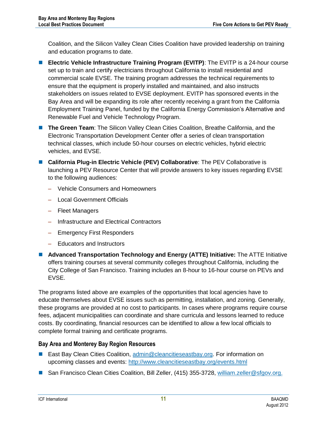Coalition, and the Silicon Valley Clean Cities Coalition have provided leadership on training and education programs to date.

- **ELECTRIC Vehicle Infrastructure Training Program (EVITP)**: The EVITP is a 24-hour course set up to train and certify electricians throughout California to install residential and commercial scale EVSE. The training program addresses the technical requirements to ensure that the equipment is properly installed and maintained, and also instructs stakeholders on issues related to EVSE deployment. EVITP has sponsored events in the Bay Area and will be expanding its role after recently receiving a grant from the California Employment Training Panel, funded by the California Energy Commission's Alternative and Renewable Fuel and Vehicle Technology Program.
- **The Green Team**: The Silicon Valley Clean Cities Coalition, Breathe California, and the Electronic Transportation Development Center offer a series of clean transportation technical classes, which include 50-hour courses on electric vehicles, hybrid electric vehicles, and EVSE.
- California Plug-in Electric Vehicle (PEV) Collaborative: The PEV Collaborative is launching a PEV Resource Center that will provide answers to key issues regarding EVSE to the following audiences:
	- Vehicle Consumers and Homeowners
	- Local Government Officials
	- Fleet Managers
	- Infrastructure and Electrical Contractors
	- Emergency First Responders
	- Educators and Instructors
- **Advanced Transportation Technology and Energy (ATTE) Initiative:** The ATTE Initiative offers training courses at several community colleges throughout California, including the City College of San Francisco. Training includes an 8-hour to 16-hour course on PEVs and EVSE.

The programs listed above are examples of the opportunities that local agencies have to educate themselves about EVSE issues such as permitting, installation, and zoning. Generally, these programs are provided at no cost to participants. In cases where programs require course fees, adjacent municipalities can coordinate and share curricula and lessons learned to reduce costs. By coordinating, financial resources can be identified to allow a few local officials to complete formal training and certificate programs.

### **Bay Area and Monterey Bay Region Resources**

- East Bay Clean Cities Coalition, [admin@cleancitieseastbay.org.](mailto:admin@cleancitieseastbay.org) For information on upcoming classes and events: <http://www.cleancitieseastbay.org/events.html>
- San Francisco Clean Cities Coalition, Bill Zeller, (415) 355-3728, [william.zeller@sfgov.org.](mailto:william.zeller@sfgov.org)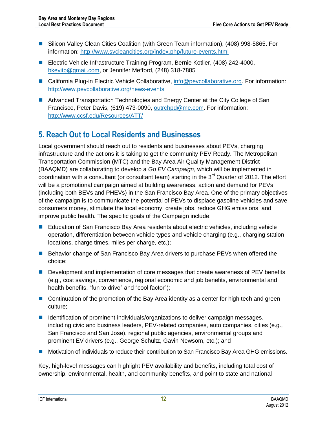- Silicon Valley Clean Cities Coalition (with Green Team information), (408) 998-5865. For information:<http://www.svcleancities.org/index.php/future-events.html>
- Electric Vehicle Infrastructure Training Program, Bernie Kotlier, (408) 242-4000, [bkevitp@gmail.com,](mailto:bkevitp@gmail.com) or Jennifer Mefford, (248) 318-7885
- California Plug-in Electric Vehicle Collaborative, [info@pevcollaborative.org.](mailto:info@pevcollaborative.org) For information: <http://www.pevcollaborative.org/news-events>
- **Advanced Transportation Technologies and Energy Center at the City College of San** Francisco, Peter Davis, (619) 473-0090, [outrchpd@me.com.](mailto:outrchpd@me.com) For information: <http://www.ccsf.edu/Resources/ATT/>

### <span id="page-14-0"></span>**5. Reach Out to Local Residents and Businesses**

Local government should reach out to residents and businesses about PEVs, charging infrastructure and the actions it is taking to get the community PEV Ready. The Metropolitan Transportation Commission (MTC) and the Bay Area Air Quality Management District (BAAQMD) are collaborating to develop a *Go EV Campaign*, which will be implemented in coordination with a consultant (or consultant team) starting in the  $3<sup>rd</sup>$  Quarter of 2012. The effort will be a promotional campaign aimed at building awareness, action and demand for PEVs (including both BEVs and PHEVs) in the San Francisco Bay Area. One of the primary objectives of the campaign is to communicate the potential of PEVs to displace gasoline vehicles and save consumers money, stimulate the local economy, create jobs, reduce GHG emissions, and improve public health. The specific goals of the Campaign include:

- Education of San Francisco Bay Area residents about electric vehicles, including vehicle operation, differentiation between vehicle types and vehicle charging (e.g., charging station locations, charge times, miles per charge, etc.);
- **Behavior change of San Francisco Bay Area drivers to purchase PEVs when offered the** choice;
- **Development and implementation of core messages that create awareness of PEV benefits** (e.g., cost savings, convenience, regional economic and job benefits, environmental and health benefits, "fun to drive" and "cool factor");
- **Continuation of the promotion of the Bay Area identity as a center for high tech and green** culture;
- **IDED** Identification of prominent individuals/organizations to deliver campaign messages, including civic and business leaders, PEV-related companies, auto companies, cities (e.g., San Francisco and San Jose), regional public agencies, environmental groups and prominent EV drivers (e.g., George Schultz, Gavin Newsom, etc.); and
- Motivation of individuals to reduce their contribution to San Francisco Bay Area GHG emissions.

Key, high-level messages can highlight PEV availability and benefits, including total cost of ownership, environmental, health, and community benefits, and point to state and national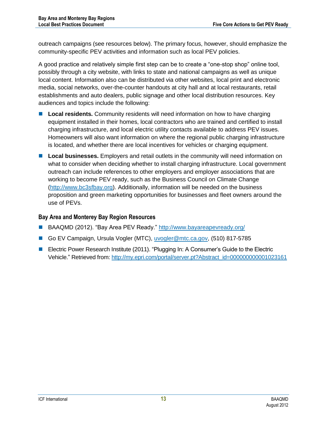outreach campaigns (see resources below). The primary focus, however, should emphasize the community-specific PEV activities and information such as local PEV policies.

A good practice and relatively simple first step can be to create a "one-stop shop" online tool, possibly through a city website, with links to state and national campaigns as well as unique local content. Information also can be distributed via other websites, local print and electronic media, social networks, over-the-counter handouts at city hall and at local restaurants, retail establishments and auto dealers, public signage and other local distribution resources. Key audiences and topics include the following:

- **Local residents.** Community residents will need information on how to have charging equipment installed in their homes, local contractors who are trained and certified to install charging infrastructure, and local electric utility contacts available to address PEV issues. Homeowners will also want information on where the regional public charging infrastructure is located, and whether there are local incentives for vehicles or charging equipment.
- **Local businesses.** Employers and retail outlets in the community will need information on what to consider when deciding whether to install charging infrastructure. Local government outreach can include references to other employers and employer associations that are working to become PEV ready, such as the Business Council on Climate Change [\(http://www.bc3sfbay.org\)](http://www.bc3sfbay.org/). Additionally, information will be needed on the business proposition and green marketing opportunities for businesses and fleet owners around the use of PEVs.

### **Bay Area and Monterey Bay Region Resources**

- BAAQMD (2012). "Bay Area PEV Ready."<http://www.bayareapevready.org/>
- Go EV Campaign, Ursula Vogler (MTC), [uvogler@mtc.ca.gov,](mailto:uvogler@mtc.ca.gov) (510) 817-5785
- Electric Power Research Institute (2011). "Plugging In: A Consumer's Guide to the Electric Vehicle." Retrieved from: [http://my.epri.com/portal/server.pt?Abstract\\_id=000000000001023161](http://my.epri.com/portal/server.pt?Abstract_id=000000000001023161)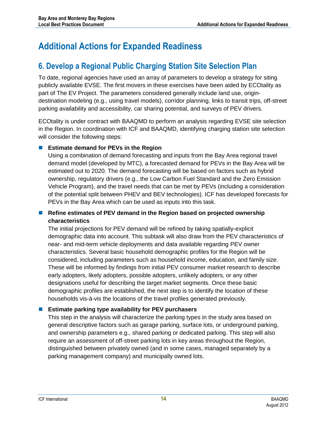# <span id="page-16-0"></span>**Additional Actions for Expanded Readiness**

### <span id="page-16-1"></span>**6. Develop a Regional Public Charging Station Site Selection Plan**

To date, regional agencies have used an array of parameters to develop a strategy for siting publicly available EVSE. The first movers in these exercises have been aided by ECOtality as part of The EV Project. The parameters considered generally include land use, origindestination modeling (e.g., using travel models), corridor planning, links to transit trips, off-street parking availability and accessibility, car sharing potential, and surveys of PEV drivers.

ECOtality is under contract with BAAQMD to perform an analysis regarding EVSE site selection in the Region. In coordination with ICF and BAAQMD, identifying charging station site selection will consider the following steps:

### **Estimate demand for PEVs in the Region**

Using a combination of demand forecasting and inputs from the Bay Area regional travel demand model (developed by MTC), a forecasted demand for PEVs in the Bay Area will be estimated out to 2020. The demand forecasting will be based on factors such as hybrid ownership, regulatory drivers (e.g., the Low Carbon Fuel Standard and the Zero Emission Vehicle Program), and the travel needs that can be met by PEVs (including a consideration of the potential split between PHEV and BEV technologies). ICF has developed forecasts for PEVs in the Bay Area which can be used as inputs into this task.

### **Refine estimates of PEV demand in the Region based on projected ownership characteristics**

The initial projections for PEV demand will be refined by taking spatially-explicit demographic data into account. This subtask will also draw from the PEV characteristics of near- and mid-term vehicle deployments and data available regarding PEV owner characteristics. Several basic household demographic profiles for the Region will be considered, including parameters such as household income, education, and family size. These will be informed by findings from initial PEV consumer market research to describe early adopters, likely adopters, possible adopters, unlikely adopters, or any other designations useful for describing the target market segments. Once these basic demographic profiles are established, the next step is to identify the location of these households vis-à-vis the locations of the travel profiles generated previously.

### **Estimate parking type availability for PEV purchasers**

This step in the analysis will characterize the parking types in the study area based on general descriptive factors such as garage parking, surface lots, or underground parking, and ownership parameters e.g., shared parking or dedicated parking. This step will also require an assessment of off-street parking lots in key areas throughout the Region, distinguished between privately owned (and in some cases, managed separately by a parking management company) and municipally owned lots.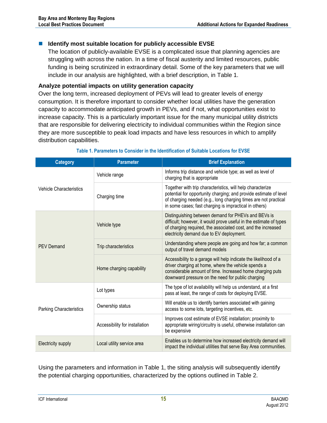#### ■ Identify most suitable location for publicly accessible EVSE

The location of publicly-available EVSE is a complicated issue that planning agencies are struggling with across the nation. In a time of fiscal austerity and limited resources, public funding is being scrutinized in extraordinary detail. Some of the key parameters that we will include in our analysis are highlighted, with a brief description, in [Table 1.](#page-17-0)

#### **Analyze potential impacts on utility generation capacity**

Over the long term, increased deployment of PEVs will lead to greater levels of energy consumption. It is therefore important to consider whether local utilities have the generation capacity to accommodate anticipated growth in PEVs, and if not, what opportunities exist to increase capacity. This is a particularly important issue for the many municipal utility districts that are responsible for delivering electricity to individual communities within the Region since they are more susceptible to peak load impacts and have less resources in which to amplify distribution capabilities.

<span id="page-17-0"></span>

| <b>Category</b>                | <b>Parameter</b>               | <b>Brief Explanation</b>                                                                                                                                                                                                                                     |
|--------------------------------|--------------------------------|--------------------------------------------------------------------------------------------------------------------------------------------------------------------------------------------------------------------------------------------------------------|
| <b>Vehicle Characteristics</b> | Vehicle range                  | Informs trip distance and vehicle type; as well as level of<br>charging that is appropriate                                                                                                                                                                  |
|                                | Charging time                  | Together with trip characteristics, will help characterize<br>potential for opportunity charging; and provide estimate of level<br>of charging needed (e.g., long charging times are not practical<br>in some cases; fast charging is impractical in others) |
|                                | Vehicle type                   | Distinguishing between demand for PHEVs and BEVs is<br>difficult; however, it would prove useful in the estimate of types<br>of charging required, the associated cost, and the increased<br>electricity demand due to EV deployment.                        |
| <b>PEV Demand</b>              | Trip characteristics           | Understanding where people are going and how far; a common<br>output of travel demand models                                                                                                                                                                 |
|                                | Home charging capability       | Accessibility to a garage will help indicate the likelihood of a<br>driver charging at home, where the vehicle spends a<br>considerable amount of time. Increased home charging puts<br>downward pressure on the need for public charging                    |
|                                | Lot types                      | The type of lot availability will help us understand, at a first<br>pass at least, the range of costs for deploying EVSE.                                                                                                                                    |
| <b>Parking Characteristics</b> | Ownership status               | Will enable us to identify barriers associated with gaining<br>access to some lots, targeting incentives, etc.                                                                                                                                               |
|                                | Accessibility for installation | Improves cost estimate of EVSE installation; proximity to<br>appropriate wiring/circuitry is useful, otherwise installation can<br>be expensive                                                                                                              |
| Electricity supply             | Local utility service area     | Enables us to determine how increased electricity demand will<br>impact the individual utilities that serve Bay Area communities.                                                                                                                            |

#### **Table 1. Parameters to Consider in the Identification of Suitable Locations for EVSE**

Using the parameters and information in [Table 1,](#page-17-0) the siting analysis will subsequently identify the potential charging opportunities, characterized by the options outlined in [Table 2.](#page-18-1)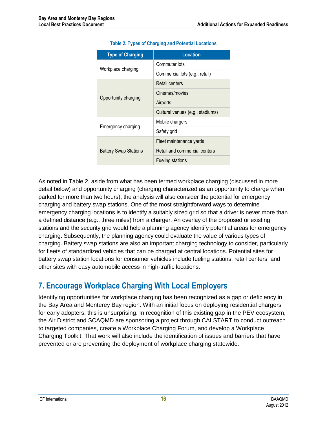<span id="page-18-1"></span>

| <b>Type of Charging</b>      | Location                         |
|------------------------------|----------------------------------|
|                              | Commuter lots                    |
| Workplace charging           | Commercial lots (e.g., retail)   |
|                              | Retail centers                   |
|                              | Cinemas/movies                   |
| Opportunity charging         | Airports                         |
|                              | Cultural venues (e.g., stadiums) |
|                              | Mobile chargers                  |
| Emergency charging           | Safety grid                      |
|                              | Fleet maintenance yards          |
| <b>Battery Swap Stations</b> | Retail and commercial centers    |
|                              | <b>Fueling stations</b>          |

#### **Table 2. Types of Charging and Potential Locations**

As noted in [Table 2,](#page-18-1) aside from what has been termed workplace charging (discussed in more detail below) and opportunity charging (charging characterized as an opportunity to charge when parked for more than two hours), the analysis will also consider the potential for emergency charging and battery swap stations. One of the most straightforward ways to determine emergency charging locations is to identify a suitably sized grid so that a driver is never more than a defined distance (e.g., three miles) from a charger. An overlay of the proposed or existing stations and the security grid would help a planning agency identify potential areas for emergency charging. Subsequently, the planning agency could evaluate the value of various types of charging. Battery swap stations are also an important charging technology to consider, particularly for fleets of standardized vehicles that can be charged at central locations. Potential sites for battery swap station locations for consumer vehicles include fueling stations, retail centers, and other sites with easy automobile access in high-traffic locations.

### <span id="page-18-0"></span>**7. Encourage Workplace Charging With Local Employers**

Identifying opportunities for workplace charging has been recognized as a gap or deficiency in the Bay Area and Monterey Bay region. With an initial focus on deploying residential chargers for early adopters, this is unsurprising. In recognition of this existing gap in the PEV ecosystem, the Air District and SCAQMD are sponsoring a project through CALSTART to conduct outreach to targeted companies, create a Workplace Charging Forum, and develop a Workplace Charging Toolkit. That work will also include the identification of issues and barriers that have prevented or are preventing the deployment of workplace charging statewide.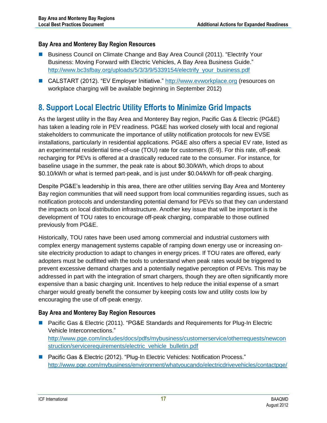#### **Bay Area and Monterey Bay Region Resources**

- Business Council on Climate Change and Bay Area Council (2011). "Electrify Your Business: Moving Forward with Electric Vehicles, A Bay Area Business Guide." [http://www.bc3sfbay.org/uploads/5/3/3/9/5339154/electrify\\_your\\_business.pdf](http://www.bc3sfbay.org/uploads/5/3/3/9/5339154/electrify_your_business.pdf)
- CALSTART (2012). "EV Employer Initiative." [http://www.evworkplace.org](http://www.evworkplace.org/) (resources on workplace charging will be available beginning in September 2012)

### <span id="page-19-0"></span>**8. Support Local Electric Utility Efforts to Minimize Grid Impacts**

As the largest utility in the Bay Area and Monterey Bay region, Pacific Gas & Electric (PG&E) has taken a leading role in PEV readiness. PG&E has worked closely with local and regional stakeholders to communicate the importance of utility notification protocols for new EVSE installations, particularly in residential applications. PG&E also offers a special EV rate, listed as an experimental residential time-of-use (TOU) rate for customers (E-9). For this rate, off-peak recharging for PEVs is offered at a drastically reduced rate to the consumer. For instance, for baseline usage in the summer, the peak rate is about \$0.30/kWh, which drops to about \$0.10/kWh or what is termed part-peak, and is just under \$0.04/kWh for off-peak charging.

Despite PG&E's leadership in this area, there are other utilities serving Bay Area and Monterey Bay region communities that will need support from local communities regarding issues, such as notification protocols and understanding potential demand for PEVs so that they can understand the impacts on local distribution infrastructure. Another key issue that will be important is the development of TOU rates to encourage off-peak charging, comparable to those outlined previously from PG&E.

Historically, TOU rates have been used among commercial and industrial customers with complex energy management systems capable of ramping down energy use or increasing onsite electricity production to adapt to changes in energy prices. If TOU rates are offered, early adopters must be outfitted with the tools to understand when peak rates would be triggered to prevent excessive demand charges and a potentially negative perception of PEVs. This may be addressed in part with the integration of smart chargers, though they are often significantly more expensive than a basic charging unit. Incentives to help reduce the initial expense of a smart charger would greatly benefit the consumer by keeping costs low and utility costs low by encouraging the use of off-peak energy.

### **Bay Area and Monterey Bay Region Resources**

- Pacific Gas & Electric (2011). "PG&E Standards and Requirements for Plug-In Electric Vehicle Interconnections." [http://www.pge.com/includes/docs/pdfs/mybusiness/customerservice/otherrequests/newcon](http://www.pge.com/includes/docs/pdfs/mybusiness/customerservice/otherrequests/newconstruction/servicerequirements/electric_vehicle_bulletin.pdf) [struction/servicerequirements/electric\\_vehicle\\_bulletin.pdf](http://www.pge.com/includes/docs/pdfs/mybusiness/customerservice/otherrequests/newconstruction/servicerequirements/electric_vehicle_bulletin.pdf)
- Pacific Gas & Electric (2012). "Plug-In Electric Vehicles: Notification Process." <http://www.pge.com/mybusiness/environment/whatyoucando/electricdrivevehicles/contactpge/>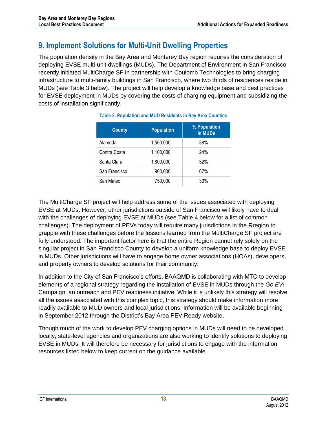### <span id="page-20-0"></span>**9. Implement Solutions for Multi-Unit Dwelling Properties**

The population density in the Bay Area and Monterey Bay region requires the consideration of deploying EVSE multi-unit dwellings (MUDs). The Department of Environment in San Francisco recently initiated MultiCharge SF in partnership with Coulomb Technologies to bring charging infrastructure to multi-family buildings in San Francisco, where two thirds of residences reside in MUDs (see [Table 3](#page-20-1) below). The project will help develop a knowledge base and best practices for EVSE deployment in MUDs by covering the costs of charging equipment and subsidizing the costs of installation significantly.

<span id="page-20-1"></span>

| <b>County</b> | <b>Population</b> | % Population<br>in MUDs |
|---------------|-------------------|-------------------------|
| Alameda       | 1,500,000         | 38%                     |
| Contra Costa  | 1,100,000         | 24%                     |
| Santa Clara   | 1,800,000         | 32%                     |
| San Francisco | 900,000           | 67%                     |
| San Mateo     | 750,000           | 33%                     |

| <b>Table 3. Population and MUD Residents in Bay Area Counties</b> |  |  |
|-------------------------------------------------------------------|--|--|
|                                                                   |  |  |

The MultiCharge SF project will help address some of the issues associated with deploying EVSE at MUDs. However, other jurisdictions outside of San Francisco will likely have to deal with the challenges of deploying EVSE at MUDs (see [Table 4](#page-21-1) below for a list of common challenges). The deployment of PEVs today will require many jurisdictions in the Rregion to grapple with these challenges before the lessons learned from the MultiCharge SF project are fully understood. The important factor here is that the entire Region cannot rely solely on the singular project in San Francisco County to develop a uniform knowledge base to deploy EVSE in MUDs. Other jurisdictions will have to engage home owner associations (HOAs), developers, and property owners to develop solutions for their community.

In addition to the City of San Francisco's efforts, BAAQMD is collaborating with MTC to develop elements of a regional strategy regarding the installation of EVSE in MUDs through the *Go EV!*  Campaign, an outreach and PEV readiness initiative. While it is unlikely this strategy will resolve all the issues associated with this complex topic, this strategy should make information more readily available to MUD owners and local jurisdictions. Information will be available beginning in September 2012 through the District's Bay Area PEV Ready website.

Though much of the work to develop PEV charging options in MUDs will need to be developed locally, state-level agencies and organizations are also working to identify solutions to deploying EVSE in MUDs. It will therefore be necessary for jurisdictions to engage with the information resources listed below to keep current on the guidance available.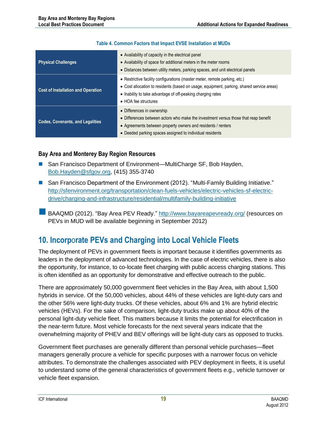#### **Table 4. Common Factors that Impact EVSE Installation at MUDs**

<span id="page-21-1"></span>

| <b>Physical Challenges</b>                | • Availability of capacity in the electrical panel<br>• Availability of space for additional meters in the meter rooms<br>• Distances between utility meters, parking spaces, and unit electrical panels                                                       |
|-------------------------------------------|----------------------------------------------------------------------------------------------------------------------------------------------------------------------------------------------------------------------------------------------------------------|
| <b>Cost of Installation and Operation</b> | • Restrictive facility configurations (master meter, remote parking, etc.)<br>• Cost allocation to residents (based on usage, equipment, parking, shared service areas)<br>• Inability to take advantage of off-peaking charging rates<br>• HOA fee structures |
| <b>Codes, Covenants, and Legalities</b>   | • Differences in ownership<br>• Differences between actors who make the investment versus those that reap benefit<br>• Agreements between property owners and residents / renters<br>• Deeded parking spaces assigned to individual residents                  |

#### **Bay Area and Monterey Bay Region Resources**

- San Francisco Department of Environment—MultiCharge SF, Bob Hayden, [Bob.Hayden@sfgov.org,](mailto:Bob.Hayden@sfgov.org) (415) 355-3740
- San Francisco Department of the Environment (2012). "Multi-Family Building Initiative." [http://sfenvironment.org/transportation/clean-fuels-vehicles/electric-vehicles-sf-electric](http://sfenvironment.org/transportation/clean-fuels-vehicles/electric-vehicles-sf-electric-drive/charging-and-infrastructure/residential/multifamily-building-initiative)[drive/charging-and-infrastructure/residential/multifamily-building-initiative](http://sfenvironment.org/transportation/clean-fuels-vehicles/electric-vehicles-sf-electric-drive/charging-and-infrastructure/residential/multifamily-building-initiative)
- BAAQMD (2012). "Bay Area PEV Ready."<http://www.bayareapevready.org/> (resources on PEVs in MUD will be available beginning in September 2012)

### <span id="page-21-0"></span>**10. Incorp**o**rate PEVs and Charging into Local Vehicle Fleets**

The deployment of PEVs in government fleets is important because it identifies governments as leaders in the deployment of advanced technologies. In the case of electric vehicles, there is also the opportunity, for instance, to co-locate fleet charging with public access charging stations. This is often identified as an opportunity for demonstrative and effective outreach to the public.

There are approximately 50,000 government fleet vehicles in the Bay Area, with about 1,500 hybrids in service. Of the 50,000 vehicles, about 44% of these vehicles are light-duty cars and the other 56% were light-duty trucks. Of these vehicles, about 6% and 1% are hybrid electric vehicles (HEVs). For the sake of comparison, light-duty trucks make up about 40% of the personal light-duty vehicle fleet. This matters because it limits the potential for electrification in the near-term future. Most vehicle forecasts for the next several years indicate that the overwhelming majority of PHEV and BEV offerings will be light-duty cars as opposed to trucks.

Government fleet purchases are generally different than personal vehicle purchases—fleet managers generally procure a vehicle for specific purposes with a narrower focus on vehicle attributes. To demonstrate the challenges associated with PEV deployment in fleets, it is useful to understand some of the general characteristics of government fleets e.g., vehicle turnover or vehicle fleet expansion.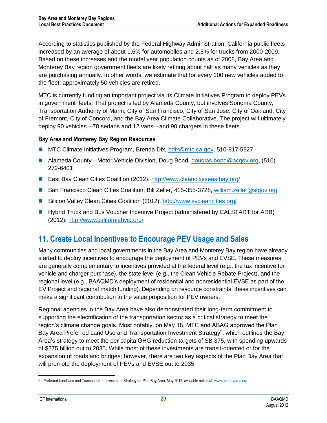According to statistics published by the Federal Highway Administration, California public fleets increased by an average of about 1.6% for automobiles and 2.5% for trucks from 2000-2009. Based on these increases and the model year population counts as of 2008, Bay Area and Monterey Bay region government fleets are likely retiring about half as many vehicles as they are purchasing annually. In other words, we estimate that for every 100 new vehicles added to the fleet, approximately 50 vehicles are retired.

MTC is currently funding an important project via its Climate Initiatives Program to deploy PEVs in government fleets. That project is led by Alameda County, but involves Sonoma County, Transportation Authority of Marin, City of San Francisco, City of San Jose, City of Oakland, City of Fremont, City of Concord, and the Bay Area Climate Collaborative. The project will ultimately deploy 90 vehicles—78 sedans and 12 vans—and 90 chargers in these fleets.

### **Bay Area and Monterey Bay Region Resources**

- MTC Climate Initiatives Program, Brenda Dix, [bdix@mtc.ca.gov,](mailto:bdix@mtc.ca.gov) 510-817-5927
- Alameda County—Motor Vehicle Division, Doug Bond, [douglas.bond@acgov.org,](mailto:douglas.bond@acgov.org) (510) 272-6401
- East Bay Clean Cities Coalition (2012).<http://www.cleancitieseastbay.org/>
- San Francisco Clean Cities Coalition, Bill Zeller, 415-355-3728, [william.zeller@sfgov.org](mailto:william.zeller@sfgov.org)
- Silicon Valley Clean Cities Coalition (2012).<http://www.svcleancities.org/>
- **Hybrid Truck and Bus Voucher Incentive Project (administered by CALSTART for ARB)** (2012).<http://www.californiahvip.org/>

### <span id="page-22-0"></span>**11. Create Local Incentives to Encourage PEV Usage and Sales**

Many communities and local governments in the Bay Area and Monterey Bay region have already started to deploy incentives to encourage the deployment of PEVs and EVSE. These measures are generally complementary to incentives provided at the federal level (e.g., the tax incentive for vehicle and charger purchase), the state level (e.g., the Clean Vehicle Rebate Project), and the regional level (e.g., BAAQMD's deployment of residential and nonresidential EVSE as part of the EV Project and regional match funding). Depending on resource constraints, these incentives can make a significant contribution to the value proposition for PEV owners.

Regional agencies in the Bay Area have also demonstrated their long-term commitment to supporting the electrification of the transportation sector as a critical strategy to meet the region's climate change goals. Most notably, on May 18, MTC and ABAG approved the Plan Bay Area Preferred Land Use and Transportation Investment Strategy<sup>5</sup>, which outlines the Bay Area's strategy to meet the per capita GHG reduction targets of SB 375, with spending upwards of \$275 billion out to 2035. While most of these investments are transit-oriented or for the expansion of roads and bridges; however, there are two key aspects of the Plan Bay Area that will promote the deployment of PEVs and EVSE out to 2035:

 <sup>5</sup> Preferred Land Use and Transportation Investment Strategy for Plan Bay Area, May 2012, available online at[: www.onebayarea.org](http://www.onebayarea.org/)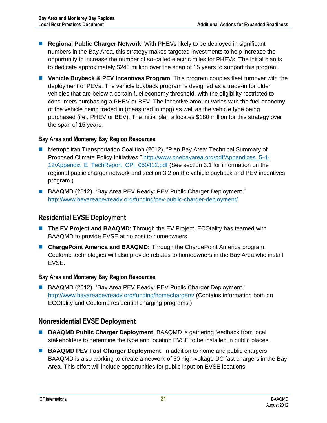- **Regional Public Charger Network**: With PHEVs likely to be deployed in significant numbers in the Bay Area, this strategy makes targeted investments to help increase the opportunity to increase the number of so-called electric miles for PHEVs. The initial plan is to dedicate approximately \$240 million over the span of 15 years to support this program.
- **Vehicle Buyback & PEV Incentives Program**: This program couples fleet turnover with the deployment of PEVs. The vehicle buyback program is designed as a trade-in for older vehicles that are below a certain fuel economy threshold, with the eligibility restricted to consumers purchasing a PHEV or BEV. The incentive amount varies with the fuel economy of the vehicle being traded in (measured in mpg) as well as the vehicle type being purchased (i.e., PHEV or BEV). The initial plan allocates \$180 million for this strategy over the span of 15 years.

#### **Bay Area and Monterey Bay Region Resources**

- Metropolitan Transportation Coalition (2012). "Plan Bay Area: Technical Summary of Proposed Climate Policy Initiatives." [http://www.onebayarea.org/pdf/Appendices\\_5-4-](http://www.onebayarea.org/pdf/Appendices_5-4-12/Appendix_E_TechReport_CPI_050412.pdf) 12/Appendix E\_TechReport\_CPI\_050412.pdf (See section 3.1 for information on the regional public charger network and section 3.2 on the vehicle buyback and PEV incentives program.)
- BAAQMD (2012). "Bay Area PEV Ready: PEV Public Charger Deployment." <http://www.bayareapevready.org/funding/pev-public-charger-deployment/>

### <span id="page-23-0"></span>**Residential EVSE Deployment**

- **The EV Project and BAAQMD:** Through the EV Project, ECOtality has teamed with BAAQMD to provide EVSE at no cost to homeowners.
- **ChargePoint America and BAAQMD:** Through the ChargePoint America program, Coulomb technologies will also provide rebates to homeowners in the Bay Area who install EVSE.

### **Bay Area and Monterey Bay Region Resources**

**BAAQMD (2012). "Bay Area PEV Ready: PEV Public Charger Deployment."** <http://www.bayareapevready.org/funding/homechargers/> (Contains information both on ECOtality and Coulomb residential charging programs.)

### <span id="page-23-1"></span>**Nonresidential EVSE Deployment**

- **BAAQMD Public Charger Deployment: BAAQMD is gathering feedback from local** stakeholders to determine the type and location EVSE to be installed in public places.
- **BAAQMD PEV Fast Charger Deployment:** In addition to home and public chargers, BAAQMD is also working to create a network of 50 high-voltage DC fast chargers in the Bay Area. This effort will include opportunities for public input on EVSE locations.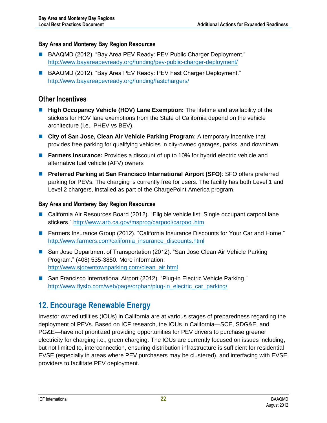### **Bay Area and Monterey Bay Region Resources**

- BAAQMD (2012). "Bay Area PEV Ready: PEV Public Charger Deployment." <http://www.bayareapevready.org/funding/pev-public-charger-deployment/>
- BAAQMD (2012). "Bay Area PEV Ready: PEV Fast Charger Deployment." <http://www.bayareapevready.org/funding/fastchargers/>

### <span id="page-24-0"></span>**Other Incentives**

- **High Occupancy Vehicle (HOV) Lane Exemption:** The lifetime and availability of the stickers for HOV lane exemptions from the State of California depend on the vehicle architecture (i.e., PHEV vs BEV).
- **City of San Jose, Clean Air Vehicle Parking Program**: A temporary incentive that provides free parking for qualifying vehicles in city-owned garages, parks, and downtown.
- **Farmers Insurance:** Provides a discount of up to 10% for hybrid electric vehicle and alternative fuel vehicle (AFV) owners
- **Preferred Parking at San Francisco International Airport (SFO): SFO offers preferred** parking for PEVs. The charging is currently free for users. The facility has both Level 1 and Level 2 chargers, installed as part of the ChargePoint America program.

#### **Bay Area and Monterey Bay Region Resources**

- California Air Resources Board (2012). "Eligible vehicle list: Single occupant carpool lane stickers."<http://www.arb.ca.gov/msprog/carpool/carpool.htm>
- **Farmers Insurance Group (2012). "California Insurance Discounts for Your Car and Home."** [http://www.farmers.com/california\\_insurance\\_discounts.html](http://www.farmers.com/california_insurance_discounts.html)
- San Jose Department of Transportation (2012). "San Jose Clean Air Vehicle Parking Program." (408) 535-3850. More information: [http://www.sjdowntownparking.com/clean\\_air.html](http://www.sjdowntownparking.com/clean_air.html)
- San Francisco International Airport (2012). "Plug-in Electric Vehicle Parking." [http://www.flysfo.com/web/page/orphan/plug-in\\_electric\\_car\\_parking/](http://www.flysfo.com/web/page/orphan/plug-in_electric_car_parking/)

### <span id="page-24-1"></span>**12. Encourage Renewable Energy**

Investor owned utilities (IOUs) in California are at various stages of preparedness regarding the deployment of PEVs. Based on ICF research, the IOUs in California—SCE, SDG&E, and PG&E—have not prioritized providing opportunities for PEV drivers to purchase greener electricity for charging i.e., green charging. The IOUs are currently focused on issues including, but not limited to, interconnection, ensuring distribution infrastructure is sufficient for residential EVSE (especially in areas where PEV purchasers may be clustered), and interfacing with EVSE providers to facilitate PEV deployment.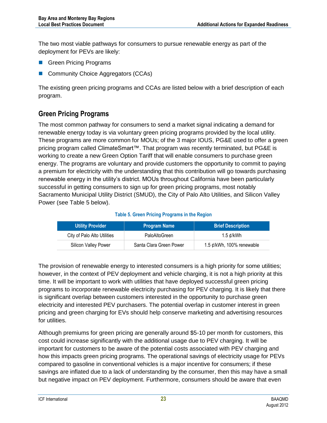The two most viable pathways for consumers to pursue renewable energy as part of the deployment for PEVs are likely:

- Green Pricing Programs
- Community Choice Aggregators (CCAs)

The existing green pricing programs and CCAs are listed below with a brief description of each program.

### <span id="page-25-0"></span>**Green Pricing Programs**

The most common pathway for consumers to send a market signal indicating a demand for renewable energy today is via voluntary green pricing programs provided by the local utility. These programs are more common for MOUs; of the 3 major IOUS, PG&E used to offer a green pricing program called ClimateSmart™. That program was recently terminated, but PG&E is working to create a new Green Option Tariff that will enable consumers to purchase green energy. The programs are voluntary and provide customers the opportunity to commit to paying a premium for electricity with the understanding that this contribution will go towards purchasing renewable energy in the utility's district. MOUs throughout California have been particularly successful in getting consumers to sign up for green pricing programs, most notably Sacramento Municipal Utility District (SMUD), the City of Palo Alto Utilities, and Silicon Valley Power (see [Table 5](#page-25-1) below).

#### **Table 5. Green Pricing Programs in the Region**

<span id="page-25-1"></span>

| <b>Utility Provider</b>     | <b>Program Name</b>     | <b>Brief Description</b>        |
|-----------------------------|-------------------------|---------------------------------|
| City of Palo Alto Utilities | PaloAltoGreen           | 1.5 ¢/kWh                       |
| Silicon Valley Power        | Santa Clara Green Power | 1.5 $\phi$ /kWh, 100% renewable |

The provision of renewable energy to interested consumers is a high priority for some utilities; however, in the context of PEV deployment and vehicle charging, it is not a high priority at this time. It will be important to work with utilities that have deployed successful green pricing programs to incorporate renewable electricity purchasing for PEV charging. It is likely that there is significant overlap between customers interested in the opportunity to purchase green electricity and interested PEV purchasers. The potential overlap in customer interest in green pricing and green charging for EVs should help conserve marketing and advertising resources for utilities.

Although premiums for green pricing are generally around \$5-10 per month for customers, this cost could increase significantly with the additional usage due to PEV charging. It will be important for customers to be aware of the potential costs associated with PEV charging and how this impacts green pricing programs. The operational savings of electricity usage for PEVs compared to gasoline in conventional vehicles is a major incentive for consumers; if these savings are inflated due to a lack of understanding by the consumer, then this may have a small but negative impact on PEV deployment. Furthermore, consumers should be aware that even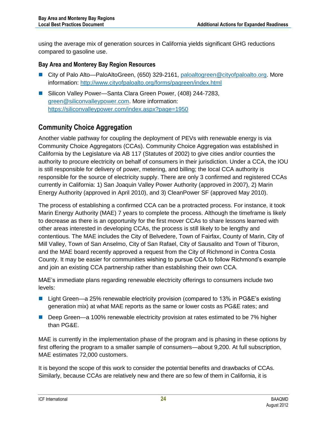using the average mix of generation sources in California yields significant GHG reductions compared to gasoline use.

#### **Bay Area and Monterey Bay Region Resources**

- City of Palo Alto—PaloAltoGreen, (650) 329-2161, [paloaltogreen@cityofpaloalto.org.](mailto:paloaltogreen@cityofpaloalto.org) More information: <http://www.cityofpaloalto.org/forms/pagreen/index.html>
- Silicon Valley Power—Santa Clara Green Power, (408) 244-7283, [green@siliconvalleypower.com.](mailto:green@siliconvalleypower.com) More information: <https://siliconvalleypower.com/index.aspx?page=1950>

### <span id="page-26-0"></span>**Community Choice Aggregation**

Another viable pathway for coupling the deployment of PEVs with renewable energy is via Community Choice Aggregators (CCAs). Community Choice Aggregation was established in California by the Legislature via AB 117 (Statutes of 2002) to give cities and/or counties the authority to procure electricity on behalf of consumers in their jurisdiction. Under a CCA, the IOU is still responsible for delivery of power, metering, and billing; the local CCA authority is responsible for the source of electricity supply. There are only 3 confirmed and registered CCAs currently in California: 1) San Joaquin Valley Power Authority (approved in 2007), 2) Marin Energy Authority (approved in April 2010), and 3) CleanPower SF (approved May 2010).

The process of establishing a confirmed CCA can be a protracted process. For instance, it took Marin Energy Authority (MAE) 7 years to complete the process. Although the timeframe is likely to decrease as there is an opportunity for the first mover CCAs to share lessons learned with other areas interested in developing CCAs, the process is still likely to be lengthy and contentious. The MAE includes the City of Belvedere, Town of Fairfax, County of Marin, City of Mill Valley, Town of San Anselmo, City of San Rafael, City of Sausalito and Town of Tiburon, and the MAE board recently approved a request from the City of Richmond in Contra Costa County. It may be easier for communities wishing to pursue CCA to follow Richmond's example and join an existing CCA partnership rather than establishing their own CCA.

MAE's immediate plans regarding renewable electricity offerings to consumers include two levels:

- Light Green—a 25% renewable electricity provision (compared to 13% in PG&E's existing generation mix) at what MAE reports as the same or lower costs as PG&E rates; and
- Deep Green—a 100% renewable electricity provision at rates estimated to be 7% higher than PG&E.

MAE is currently in the implementation phase of the program and is phasing in these options by first offering the program to a smaller sample of consumers—about 9,200. At full subscription, MAE estimates 72,000 customers.

It is beyond the scope of this work to consider the potential benefits and drawbacks of CCAs. Similarly, because CCAs are relatively new and there are so few of them in California, it is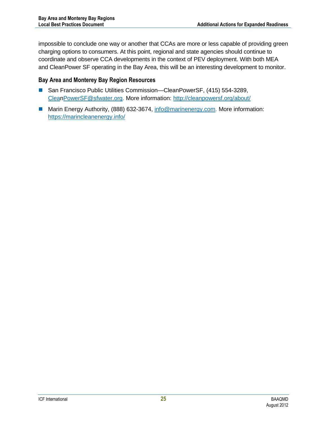impossible to conclude one way or another that CCAs are more or less capable of providing green charging options to consumers. At this point, regional and state agencies should continue to coordinate and observe CCA developments in the context of PEV deployment. With both MEA and CleanPower SF operating in the Bay Area, this will be an interesting development to monitor.

#### **Bay Area and Monterey Bay Region Resources**

- San Francisco Public Utilities Commission—CleanPowerSF, (415) 554-3289, [CleanPowerSF@sfwater.org.](mailto:cleanpowersf@sfwater.org) More information: <http://cleanpowersf.org/about/>
- Marin Energy Authority, (888) 632-3674, [info@marinenergy.com.](mailto:info@marinenergy.com) More information: <https://marincleanenergy.info/>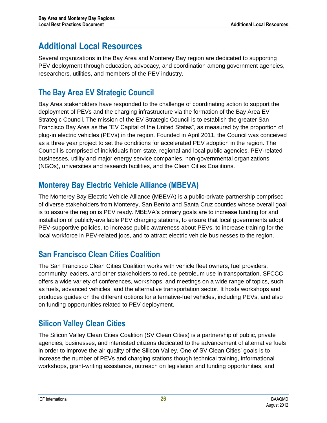# <span id="page-28-0"></span>**Additional Local Resources**

Several organizations in the Bay Area and Monterey Bay region are dedicated to supporting PEV deployment through education, advocacy, and coordination among government agencies, researchers, utilities, and members of the PEV industry.

# <span id="page-28-1"></span>**The Bay Area EV Strategic Council**

Bay Area stakeholders have responded to the challenge of coordinating action to support the deployment of PEVs and the charging infrastructure via the formation of the Bay Area EV Strategic Council. The mission of the EV Strategic Council is to establish the greater San Francisco Bay Area as the "EV Capital of the United States", as measured by the proportion of plug-in electric vehicles (PEVs) in the region. Founded in April 2011, the Council was conceived as a three year project to set the conditions for accelerated PEV adoption in the region. The Council is comprised of individuals from state, regional and local public agencies, PEV-related businesses, utility and major energy service companies, non-governmental organizations (NGOs), universities and research facilities, and the Clean Cities Coalitions.

### <span id="page-28-2"></span>**Monterey Bay Electric Vehicle Alliance (MBEVA)**

The Monterey Bay Electric Vehicle Alliance (MBEVA) is a public-private partnership comprised of diverse stakeholders from Monterey, San Benito and Santa Cruz counties whose overall goal is to assure the region is PEV ready. MBEVA's primary goals are to increase funding for and installation of publicly-available PEV charging stations, to ensure that local governments adopt PEV-supportive policies, to increase public awareness about PEVs, to increase training for the local workforce in PEV-related jobs, and to attract electric vehicle businesses to the region.

### <span id="page-28-3"></span>**San Francisco Clean Cities Coalition**

The San Francisco Clean Cities Coalition works with vehicle fleet owners, fuel providers, community leaders, and other stakeholders to reduce petroleum use in transportation. SFCCC offers a wide variety of conferences, workshops, and meetings on a wide range of topics, such as fuels, advanced vehicles, and the alternative transportation sector. It hosts workshops and produces guides on the different options for alternative-fuel vehicles, including PEVs, and also on funding opportunities related to PEV deployment.

### <span id="page-28-4"></span>**Silicon Valley Clean Cities**

The Silicon Valley Clean Cities Coalition (SV Clean Cities) is a partnership of public, private agencies, businesses, and interested citizens dedicated to the advancement of alternative fuels in order to improve the air quality of the Silicon Valley. One of SV Clean Cities' goals is to increase the number of PEVs and charging stations though technical training, informational workshops, grant-writing assistance, outreach on legislation and funding opportunities, and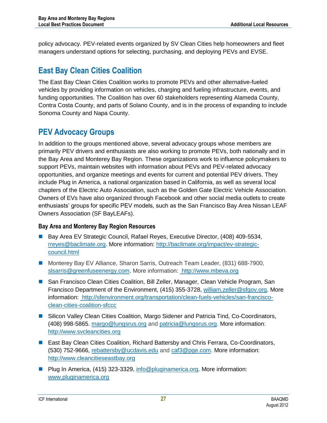policy advocacy. PEV-related events organized by SV Clean Cities help homeowners and fleet managers understand options for selecting, purchasing, and deploying PEVs and EVSE.

### <span id="page-29-0"></span>**East Bay Clean Cities Coalition**

The East Bay Clean Cities Coalition works to promote PEVs and other alternative-fueled vehicles by providing information on vehicles, charging and fueling infrastructure, events, and funding opportunities. The Coalition has over 60 stakeholders representing Alameda County, Contra Costa County, and parts of Solano County, and is in the process of expanding to include Sonoma County and Napa County.

### <span id="page-29-1"></span>**PEV Advocacy Groups**

In addition to the groups mentioned above, several advocacy groups whose members are primarily PEV drivers and enthusiasts are also working to promote PEVs, both nationally and in the Bay Area and Monterey Bay Region. These organizations work to influence policymakers to support PEVs, maintain websites with information about PEVs and PEV-related advocacy opportunities, and organize meetings and events for current and potential PEV drivers. They include Plug in America, a national organization based in California, as well as several local chapters of the Electric Auto Association, such as the Golden Gate Electric Vehicle Association. Owners of EVs have also organized through Facebook and other social media outlets to create enthusiasts' groups for specific PEV models, such as the San Francisco Bay Area Nissan LEAF Owners Association (SF BayLEAFs).

### **Bay Area and Monterey Bay Region Resources**

- Bay Area EV Strategic Council, Rafael Reyes, Executive Director, (408) 409-5534, [rreyes@baclimate.org.](mailto:rreyes@baclimate.org) More information: [http://baclimate.org/impact/ev-strategic](http://baclimate.org/impact/ev-strategic-council.html)[council.html](http://baclimate.org/impact/ev-strategic-council.html)
- Monterey Bay EV Alliance, Sharon Sarris, Outreach Team Leader, (831) 688-7900, [slsarris@greenfuseenergy.com.](mailto:slsarris@greenfuseenergy.com) More information: [http://www.mbeva.org](http://www.mbeva.org/)
- San Francisco Clean Cities Coalition, Bill Zeller, Manager, Clean Vehicle Program, San Francisco Department of the Environment, (415) 355-3728, [william.zeller@sfgov.org.](mailto:william.zeller@sfgov.org) More information: [http://sfenvironment.org/transportation/clean-fuels-vehicles/san-francisco](http://sfenvironment.org/transportation/clean-fuels-vehicles/san-francisco-clean-cities-coalition-sfccc)[clean-cities-coalition-sfccc](http://sfenvironment.org/transportation/clean-fuels-vehicles/san-francisco-clean-cities-coalition-sfccc)
- **Silicon Valley Clean Cities Coalition, Margo Sidener and Patricia Tind, Co-Coordinators,** (408) 998-5865. [margo@lungsrus.org](mailto:margo@lungsrus.org) and [patricia@lungsrus.org.](mailto:patricia@lungsrus.org) More information: [http://www.svcleancities.org](http://www.svcleancities.org/)
- East Bay Clean Cities Coalition, Richard Battersby and Chris Ferrara, Co-Coordinators, (530) 752-9666, [rebattersby@ucdavis.edu](mailto:rebattersby@ucdavis.edu) and [caf3@pge.com.](mailto:caf3@pge.com) More information: [http://www.cleancitieseastbay.org](http://www.cleancitieseastbay.org/)
- **Plug In America, (415) 323-3329, [info@pluginamerica.org.](mailto:info@pluginamerica.org) More information:** [www.pluginamerica.org](http://www.pluginamerica.org/)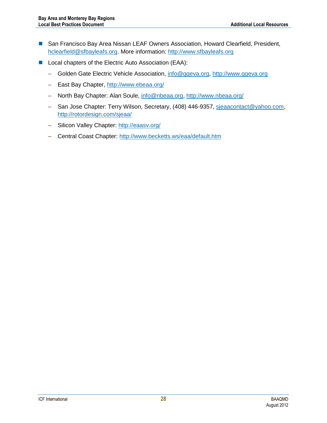- San Francisco Bay Area Nissan LEAF Owners Association, Howard Clearfield, President, [hclearfield@sfbayleafs.org.](mailto:hclearfield@sfbayleafs.org) More information: [http://www.sfbayleafs.org](http://www.sfbayleafs.org/)
- Local chapters of the Electric Auto Association (EAA):
	- Golden Gate Electric Vehicle Association, [info@ggeva.org,](mailto:info@ggeva.org) [http://www.ggeva.org](http://www.ggeva.org/)
	- East Bay Chapter, <http://www.ebeaa.org/>
	- North Bay Chapter: Alan Soule, [info@nbeaa.org,](mailto:info@nbeaa.org)<http://www.nbeaa.org/>
	- San Jose Chapter: Terry Wilson, Secretary, (408) 446-9357, [sjeaacontact@yahoo.com,](mailto:sjeaacontact@yahoo.com) <http://rotordesign.com/sjeaa/>
	- Silicon Valley Chapter:<http://eaasv.org/>
	- Central Coast Chapter: <http://www.becketts.ws/eaa/default.htm>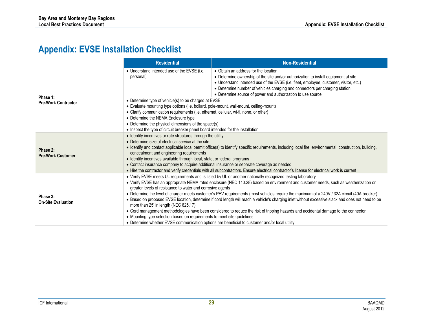# **Appendix: EVSE Installation Checklist**

<span id="page-31-0"></span>

|                                        | <b>Residential</b>                                                                                                                                                                                                                                                                                                                                                                                                                                                                                                                                                                                                                                                                                                                                                                                                                                                                                                                                                                | <b>Non-Residential</b>                                                                                                                                                                                                                                                                                                                                             |  |  |
|----------------------------------------|-----------------------------------------------------------------------------------------------------------------------------------------------------------------------------------------------------------------------------------------------------------------------------------------------------------------------------------------------------------------------------------------------------------------------------------------------------------------------------------------------------------------------------------------------------------------------------------------------------------------------------------------------------------------------------------------------------------------------------------------------------------------------------------------------------------------------------------------------------------------------------------------------------------------------------------------------------------------------------------|--------------------------------------------------------------------------------------------------------------------------------------------------------------------------------------------------------------------------------------------------------------------------------------------------------------------------------------------------------------------|--|--|
|                                        | • Understand intended use of the EVSE (i.e.<br>personal)                                                                                                                                                                                                                                                                                                                                                                                                                                                                                                                                                                                                                                                                                                                                                                                                                                                                                                                          | • Obtain an address for the location<br>• Determine ownership of the site and/or authorization to install equipment at site<br>• Understand intended use of the EVSE (i.e. fleet, employee, customer, visitor, etc.)<br>• Determine number of vehicles charging and connectors per charging station<br>• Determine source of power and authorization to use source |  |  |
| Phase 1:<br><b>Pre-Work Contractor</b> | • Determine type of vehicle(s) to be charged at EVSE<br>• Evaluate mounting type options (i.e. bollard, pole-mount, wall-mount, ceiling-mount)<br>• Clarify communication requirements (i.e. ethernet, cellular, wi-fi, none, or other)<br>• Determine the NEMA Enclosure type<br>• Determine the physical dimensions of the space(s)<br>• Inspect the type of circuit breaker panel board intended for the installation                                                                                                                                                                                                                                                                                                                                                                                                                                                                                                                                                          |                                                                                                                                                                                                                                                                                                                                                                    |  |  |
| Phase 2:<br><b>Pre-Work Customer</b>   | • Identify incentives or rate structures through the utility<br>• Determine size of electrical service at the site<br>• Identify and contact applicable local permit office(s) to identify specific requirements, including local fire, environmental, construction, building,<br>concealment and engineering requirements<br>• Identify incentives available through local, state, or federal programs<br>• Contact insurance company to acquire additional insurance or separate coverage as needed<br>• Hire the contractor and verify credentials with all subcontractors. Ensure electrical contractor's license for electrical work is current                                                                                                                                                                                                                                                                                                                              |                                                                                                                                                                                                                                                                                                                                                                    |  |  |
| Phase 3:<br><b>On-Site Evaluation</b>  | • Verify EVSE meets UL requirements and is listed by UL or another nationally recognized testing laboratory<br>• Verify EVSE has an appropriate NEMA rated enclosure (NEC 110.28) based on environment and customer needs, such as weatherization or<br>greater levels of resistance to water and corrosive agents<br>• Determine the level of charger meets customer's PEV requirements (most vehicles require the maximum of a 240V / 32A circuit (40A breaker)<br>• Based on proposed EVSE location, determine if cord length will reach a vehicle's charging inlet without excessive slack and does not need to be<br>more than 25' in length (NEC 625.17)<br>• Cord management methodologies have been considered to reduce the risk of tripping hazards and accidental damage to the connector<br>• Mounting type selection based on requirements to meet site guidelines<br>• Determine whether EVSE communication options are beneficial to customer and/or local utility |                                                                                                                                                                                                                                                                                                                                                                    |  |  |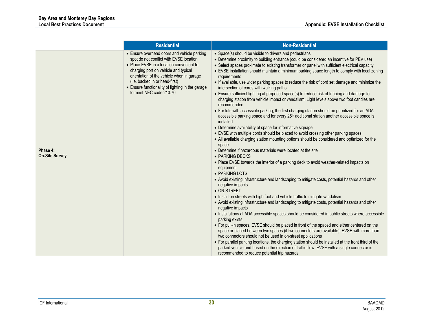|                                   | <b>Residential</b>                                                                                                                                                                                                                                                                                                                       | <b>Non-Residential</b>                                                                                                                                                                                                                                                                                                                                                                                                                                                                                                                                                                                                                                                                                                                                                                                                                                                                                                                                                                                                                                                                                                                                                                                                                                                                                                                                                                                                                                                                                                                                                                                                                                                                                                                                                                                                                                                                                                                                                                                                                                                                                                                                                                                                                                                                                                                                                                                                    |
|-----------------------------------|------------------------------------------------------------------------------------------------------------------------------------------------------------------------------------------------------------------------------------------------------------------------------------------------------------------------------------------|---------------------------------------------------------------------------------------------------------------------------------------------------------------------------------------------------------------------------------------------------------------------------------------------------------------------------------------------------------------------------------------------------------------------------------------------------------------------------------------------------------------------------------------------------------------------------------------------------------------------------------------------------------------------------------------------------------------------------------------------------------------------------------------------------------------------------------------------------------------------------------------------------------------------------------------------------------------------------------------------------------------------------------------------------------------------------------------------------------------------------------------------------------------------------------------------------------------------------------------------------------------------------------------------------------------------------------------------------------------------------------------------------------------------------------------------------------------------------------------------------------------------------------------------------------------------------------------------------------------------------------------------------------------------------------------------------------------------------------------------------------------------------------------------------------------------------------------------------------------------------------------------------------------------------------------------------------------------------------------------------------------------------------------------------------------------------------------------------------------------------------------------------------------------------------------------------------------------------------------------------------------------------------------------------------------------------------------------------------------------------------------------------------------------------|
| Phase 4:<br><b>On-Site Survey</b> | • Ensure overhead doors and vehicle parking<br>spot do not conflict with EVSE location<br>• Place EVSE in a location convenient to<br>charging port on vehicle and typical<br>orientation of the vehicle when in garage<br>(i.e. backed in or head-first)<br>• Ensure functionality of lighting in the garage<br>to meet NEC code 210.70 | • Space(s) should be visible to drivers and pedestrians<br>• Determine proximity to building entrance (could be considered an incentive for PEV use)<br>• Select spaces proximate to existing transformer or panel with sufficient electrical capacity<br>• EVSE installation should maintain a minimum parking space length to comply with local zoning<br>requirements<br>• If available, use wider parking spaces to reduce the risk of cord set damage and minimize the<br>intersection of cords with walking paths<br>• Ensure sufficient lighting at proposed space(s) to reduce risk of tripping and damage to<br>charging station from vehicle impact or vandalism. Light levels above two foot candles are<br>recommended<br>• For lots with accessible parking, the first charging station should be prioritized for an ADA<br>accessible parking space and for every 25 <sup>th</sup> additional station another accessible space is<br>installed<br>• Determine availability of space for informative signage<br>• EVSE with multiple cords should be placed to avoid crossing other parking spaces<br>• All available charging station mounting options should be considered and optimized for the<br>space<br>• Determine if hazardous materials were located at the site<br>• PARKING DECKS<br>• Place EVSE towards the interior of a parking deck to avoid weather-related impacts on<br>equipment<br>• PARKING LOTS<br>• Avoid existing infrastructure and landscaping to mitigate costs, potential hazards and other<br>negative impacts<br>• ON-STREET<br>• Install on streets with high foot and vehicle traffic to mitigate vandalism<br>• Avoid existing infrastructure and landscaping to mitigate costs, potential hazards and other<br>negative impacts<br>• Installations at ADA accessible spaces should be considered in public streets where accessible<br>parking exists<br>• For pull-in spaces, EVSE should be placed in front of the spaced and either centered on the<br>space or placed between two spaces (if two connectors are available). EVSE with more than<br>two connectors should not be used in on-street applications<br>• For parallel parking locations, the charging station should be installed at the front third of the<br>parked vehicle and based on the direction of traffic flow. EVSE with a single connector is<br>recommended to reduce potential trip hazards |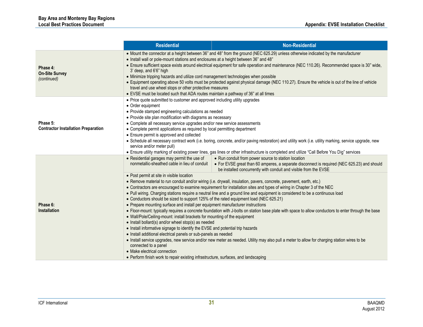|                                                        | <b>Residential</b>                                                                                                                                                                                                                                                                                                                                                                                                                                                                                                                                                                                                                                                                                                                                                                                                                                                                                                                                                                                                                                                                                                                                                            | <b>Non-Residential</b>                                                                                                                                                                                                                                                                                                                       |  |  |  |
|--------------------------------------------------------|-------------------------------------------------------------------------------------------------------------------------------------------------------------------------------------------------------------------------------------------------------------------------------------------------------------------------------------------------------------------------------------------------------------------------------------------------------------------------------------------------------------------------------------------------------------------------------------------------------------------------------------------------------------------------------------------------------------------------------------------------------------------------------------------------------------------------------------------------------------------------------------------------------------------------------------------------------------------------------------------------------------------------------------------------------------------------------------------------------------------------------------------------------------------------------|----------------------------------------------------------------------------------------------------------------------------------------------------------------------------------------------------------------------------------------------------------------------------------------------------------------------------------------------|--|--|--|
| Phase 4:<br><b>On-Site Survey</b><br>(continued)       | • Mount the connector at a height between 36" and 48" from the ground (NEC 625.29) unless otherwise indicated by the manufacturer<br>• Install wall or pole-mount stations and enclosures at a height between 36" and 48"<br>• Ensure sufficient space exists around electrical equipment for safe operation and maintenance (NEC 110.26). Recommended space is 30" wide,<br>3' deep, and 6'6" high<br>• Minimize tripping hazards and utilize cord management technologies when possible<br>• Equipment operating above 50 volts must be protected against physical damage (NEC 110.27). Ensure the vehicle is out of the line of vehicle<br>travel and use wheel stops or other protective measures<br>• EVSE must be located such that ADA routes maintain a pathway of 36" at all times                                                                                                                                                                                                                                                                                                                                                                                   |                                                                                                                                                                                                                                                                                                                                              |  |  |  |
| Phase 5:<br><b>Contractor Installation Preparation</b> | • Price quote submitted to customer and approved including utility upgrades<br>• Order equipment<br>• Provide stamped engineering calculations as needed<br>• Provide site plan modification with diagrams as necessary<br>• Complete all necessary service upgrades and/or new service assessments<br>• Complete permit applications as required by local permitting department<br>• Ensure permit is approved and collected<br>· Schedule all necessary contract work (i.e. boring, concrete, and/or paving restoration) and utility work (i.e. utility marking, service upgrade, new<br>service and/or meter pull)<br>. Ensure utility marking of existing power lines, gas lines or other infrastructure is completed and utilize "Call Before You Dig" services                                                                                                                                                                                                                                                                                                                                                                                                          |                                                                                                                                                                                                                                                                                                                                              |  |  |  |
|                                                        | • Residential garages may permit the use of<br>nonmetallic-sheathed cable in lieu of conduit<br>• Post permit at site in visible location                                                                                                                                                                                                                                                                                                                                                                                                                                                                                                                                                                                                                                                                                                                                                                                                                                                                                                                                                                                                                                     | • Run conduit from power source to station location<br>• For EVSE great than 60 amperes, a separate disconnect is required (NEC 625.23) and should<br>be installed concurrently with conduit and visible from the EVSE<br>· Remove material to run conduit and/or wiring (i.e. drywall, insulation, pavers, concrete, pavement, earth, etc.) |  |  |  |
| Phase 6:<br><b>Installation</b>                        | • Contractors are encouraged to examine requirement for installation sites and types of wiring in Chapter 3 of the NEC<br>• Pull wiring. Charging stations require a neutral line and a ground line and equipment is considered to be a continuous load<br>• Conductors should be sized to support 125% of the rated equipment load (NEC 625.21)<br>• Prepare mounting surface and install per equipment manufacturer instructions<br>• Floor-mount: typically requires a concrete foundation with J-bolts on station base plate with space to allow conductors to enter through the base<br>• Wall/Pole/Ceiling-mount: install brackets for mounting of the equipment<br>• Install bollard(s) and/or wheel stop(s) as needed<br>• Install informative signage to identify the EVSE and potential trip hazards<br>• Install additional electrical panels or sub-panels as needed<br>• Install service upgrades, new service and/or new meter as needed. Utility may also pull a meter to allow for charging station wires to be<br>connected to a panel<br>• Make electrical connection<br>• Perform finish work to repair existing infrastructure, surfaces, and landscaping |                                                                                                                                                                                                                                                                                                                                              |  |  |  |